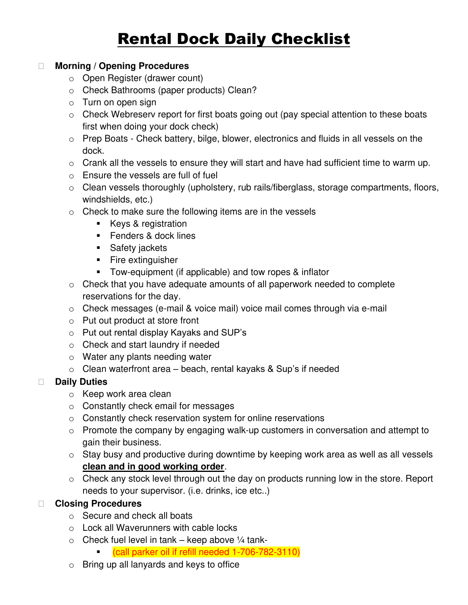## Rental Dock Daily Checklist

## **Morning / Opening Procedures**

- o Open Register (drawer count)
- o Check Bathrooms (paper products) Clean?
- $\circ$  Turn on open sign
- o Check Webreserv report for first boats going out (pay special attention to these boats first when doing your dock check)
- o Prep Boats Check battery, bilge, blower, electronics and fluids in all vessels on the dock.
- o Crank all the vessels to ensure they will start and have had sufficient time to warm up.
- o Ensure the vessels are full of fuel
- o Clean vessels thoroughly (upholstery, rub rails/fiberglass, storage compartments, floors, windshields, etc.)
- $\circ$  Check to make sure the following items are in the vessels
	- Keys & registration
	- Fenders & dock lines
	- Safety jackets
	- Fire extinguisher
	- Tow-equipment (if applicable) and tow ropes & inflator
- o Check that you have adequate amounts of all paperwork needed to complete reservations for the day.
- o Check messages (e-mail & voice mail) voice mail comes through via e-mail
- o Put out product at store front
- o Put out rental display Kayaks and SUP's
- o Check and start laundry if needed
- o Water any plants needing water
- $\circ$  Clean waterfront area beach, rental kayaks & Sup's if needed

## **Daily Duties**

- o Keep work area clean
- o Constantly check email for messages
- o Constantly check reservation system for online reservations
- o Promote the company by engaging walk-up customers in conversation and attempt to gain their business.
- o Stay busy and productive during downtime by keeping work area as well as all vessels **clean and in good working order**.
- o Check any stock level through out the day on products running low in the store. Report needs to your supervisor. (i.e. drinks, ice etc..)

## **Closing Procedures**

- o Secure and check all boats
- o Lock all Waverunners with cable locks
- $\circ$  Check fuel level in tank keep above  $\frac{1}{4}$  tank-
	- (call parker oil if refill needed 1-706-782-3110)
- o Bring up all lanyards and keys to office